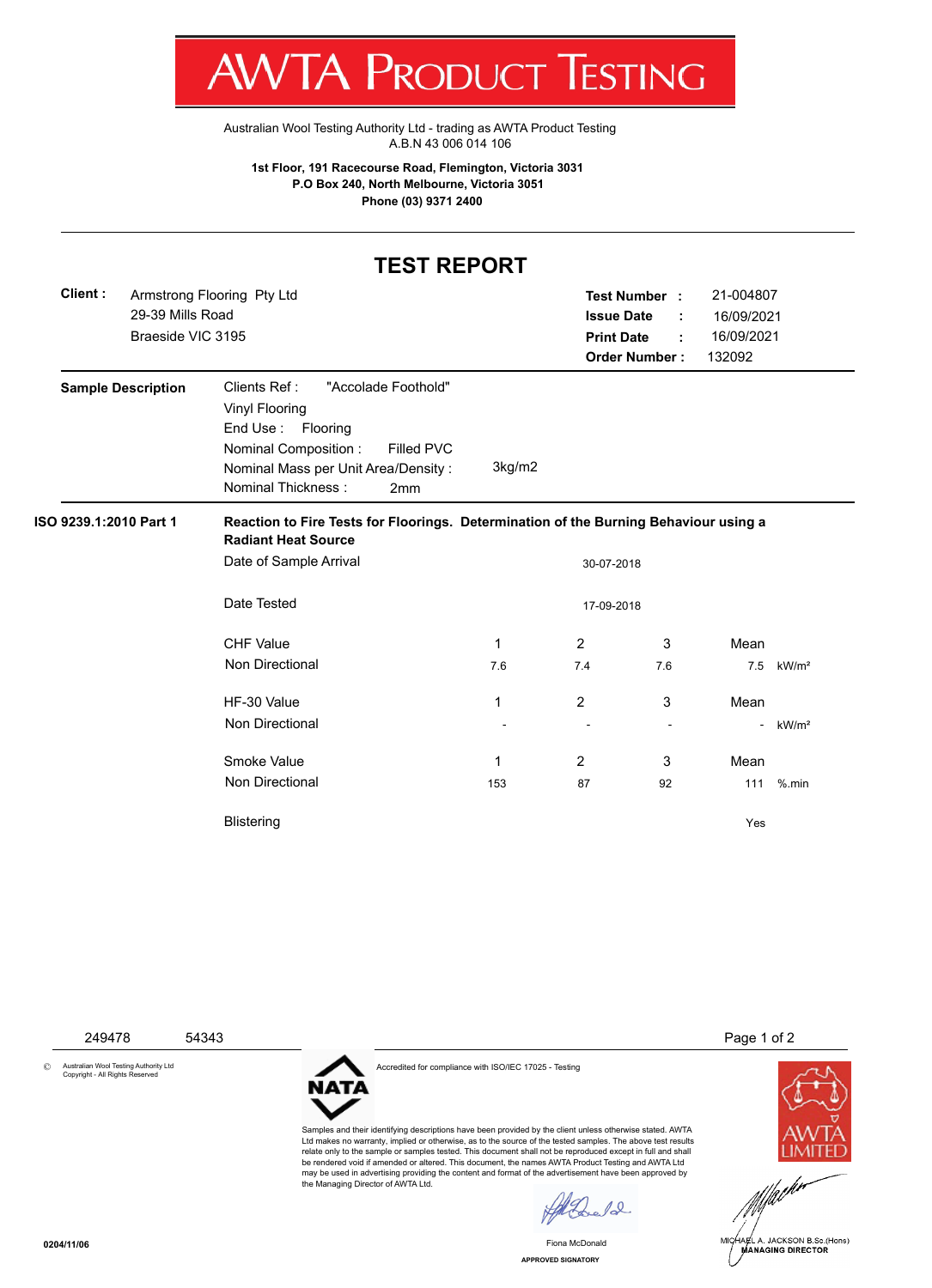

Australian Wool Testing Authority Ltd - trading as AWTA Product Testing A.B.N 43 006 014 106

**1st Floor, 191 Racecourse Road, Flemington, Victoria 3031 P.O Box 240, North Melbourne, Victoria 3051 Phone (03) 9371 2400**

## **TEST REPORT**

|  | Client: | 29-39 Mills Road<br>Braeside VIC 3195 | Armstrong Flooring Pty Ltd                                                                                                                                                                                     |            | <b>Issue Date</b><br><b>Print Date</b> | Test Number :<br><b>Order Number:</b> | 21-004807<br>16/09/2021<br>16/09/2021<br>132092 |                   |  |  |  |
|--|---------|---------------------------------------|----------------------------------------------------------------------------------------------------------------------------------------------------------------------------------------------------------------|------------|----------------------------------------|---------------------------------------|-------------------------------------------------|-------------------|--|--|--|
|  |         | <b>Sample Description</b>             | Clients Ref:<br>"Accolade Foothold"<br><b>Vinyl Flooring</b><br>End Use: Flooring<br><b>Nominal Composition:</b><br>Filled PVC<br>Nominal Mass per Unit Area/Density:<br>Nominal Thickness:<br>2 <sub>mm</sub> | 3kg/m2     |                                        |                                       |                                                 |                   |  |  |  |
|  |         | ISO 9239.1:2010 Part 1                | Reaction to Fire Tests for Floorings. Determination of the Burning Behaviour using a<br><b>Radiant Heat Source</b><br>Date of Sample Arrival<br>30-07-2018                                                     |            |                                        |                                       |                                                 |                   |  |  |  |
|  |         |                                       | Date Tested                                                                                                                                                                                                    | 17-09-2018 |                                        |                                       |                                                 |                   |  |  |  |
|  |         |                                       | <b>CHF Value</b>                                                                                                                                                                                               | 1          | $\overline{2}$                         | 3                                     | Mean                                            |                   |  |  |  |
|  |         |                                       | <b>Non Directional</b>                                                                                                                                                                                         | 7.6        | 7.4                                    | 7.6                                   | 7.5                                             | kW/m <sup>2</sup> |  |  |  |
|  |         |                                       | HF-30 Value                                                                                                                                                                                                    | 1          | $\overline{2}$                         | 3                                     | Mean                                            |                   |  |  |  |
|  |         |                                       | <b>Non Directional</b>                                                                                                                                                                                         |            |                                        |                                       | $\sim$                                          | kW/m <sup>2</sup> |  |  |  |
|  |         |                                       | Smoke Value                                                                                                                                                                                                    | 1          | $\overline{2}$                         | 3                                     | Mean                                            |                   |  |  |  |
|  |         |                                       | <b>Non Directional</b>                                                                                                                                                                                         | 153        | 87                                     | 92                                    | 111                                             | $%$ .min          |  |  |  |
|  |         |                                       | <b>Blistering</b>                                                                                                                                                                                              |            |                                        |                                       | Yes                                             |                   |  |  |  |

249478 54343 Page 1 of 2

© Australian Wool Testing Authority Ltd Copyright - All Rights Reserved

Accredited for compliance with ISO/IEC 17025 - Testing

**NATA** 

Samples and their identifying descriptions have been provided by the client unless otherwise stated. AWTA Ltd makes no warranty, implied or otherwise, as to the source of the tested samples. The above test results relate only to the sample or samples tested. This document shall not be reproduced except in full and shall be rendered void if amended or altered. This document, the names AWTA Product Testing and AWTA Ltd may be used in advertising providing the content and format of the advertisement have been approved by the Managing Director of AWTA Ltd.

 $\ell$ 

**APPROVED SIGNATORY** Fiona McDonald



MICHAEL A. JACKSON B.Sc.(Hons)